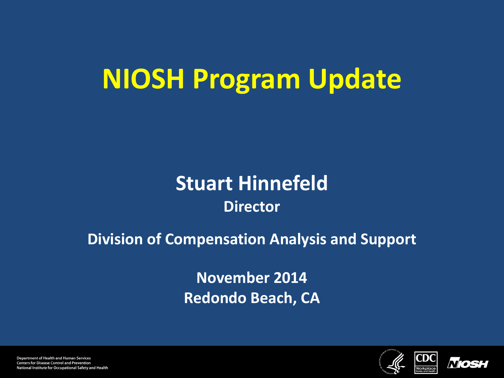# **NIOSH Program Update**

#### **Stuart Hinnefeld Director**

#### **Division of Compensation Analysis and Support**

**November 2014 Redondo Beach, CA**





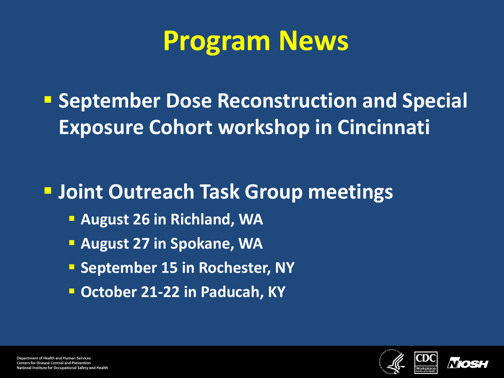### **Program News**

**E** September Dose Reconstruction and Special **Exposure Cohort workshop in Cincinnati**

#### **Joint Outreach Task Group meetings**

- **August 26 in Richland, WA**
- **August 27 in Spokane, WA**
- **September 15 in Rochester, NY**
- **October 21-22 in Paducah, KY**



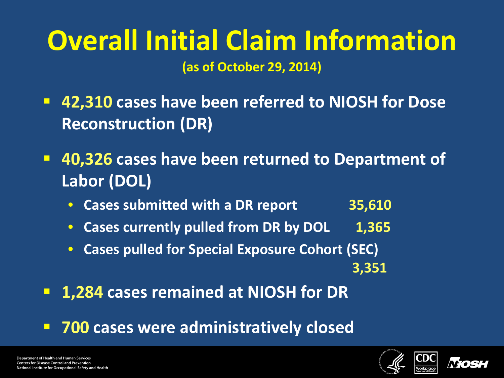# **Overall Initial Claim Information**

**(as of October 29, 2014)**

- **42,310 cases have been referred to NIOSH for Dose Reconstruction (DR)**
- **40,326 cases have been returned to Department of Labor (DOL)**
	- **Cases submitted with a DR report 35,610**
	- **Cases currently pulled from DR by DOL 1,365**
	- **Cases pulled for Special Exposure Cohort (SEC) 3,351**
- **1,284 cases remained at NIOSH for DR**
- **700 cases were administratively closed**



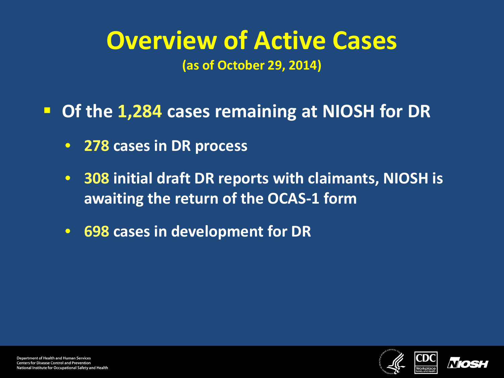#### **Overview of Active Cases (as of October 29, 2014)**

**Of the 1,284 cases remaining at NIOSH for DR**

- **278 cases in DR process**
- **308 initial draft DR reports with claimants, NIOSH is awaiting the return of the OCAS-1 form**
- **698 cases in development for DR**

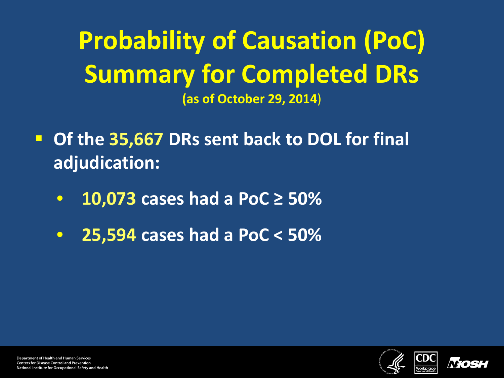**Probability of Causation (PoC) Summary for Completed DRs (as of October 29, 2014**)

- **Of the 35,667 DRs sent back to DOL for final adjudication:**
	- **10,073 cases had a PoC ≥ 50%**
	- **25,594 cases had a PoC < 50%**



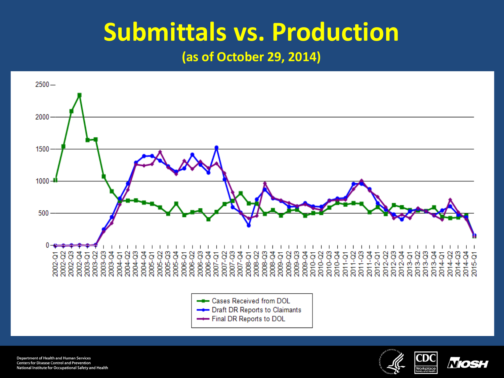#### **Submittals vs. Production**

**(as of October 29, 2014)**







-- Final DR Reports to DOL

**Department of Health and Human Services Centers for Disease Control and Prevention** National Institute for Occupational Safety and Health



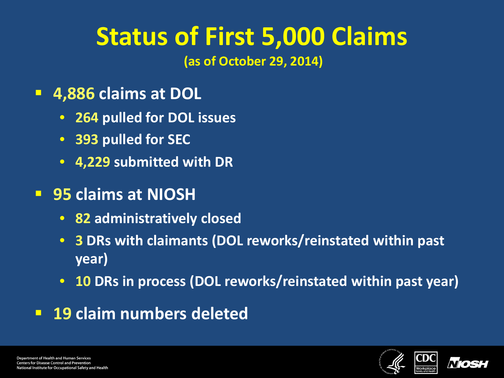# **Status of First 5,000 Claims**

**(as of October 29, 2014)** 

- **4,886 claims at DOL**
	- **264 pulled for DOL issues**
	- **393 pulled for SEC**
	- **4,229 submitted with DR**
- **95 claims at NIOSH**
	- **82 administratively closed**
	- **3 DRs with claimants (DOL reworks/reinstated within past year)**
	- **10 DRs in process (DOL reworks/reinstated within past year)**
- **19 claim numbers deleted**



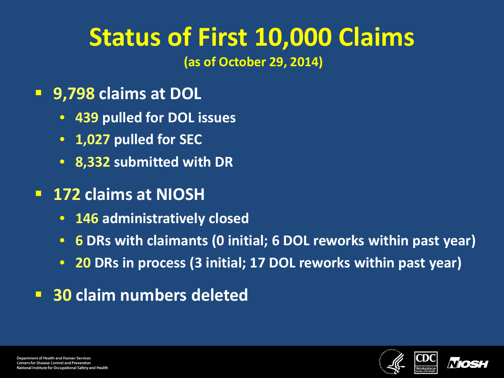# **Status of First 10,000 Claims**

**(as of October 29, 2014)** 

- **9,798 claims at DOL**
	- **439 pulled for DOL issues**
	- **1,027 pulled for SEC**
	- **8,332 submitted with DR**
- **172 claims at NIOSH**
	- **146 administratively closed**
	- **6 DRs with claimants (0 initial; 6 DOL reworks within past year)**
	- **20 DRs in process (3 initial; 17 DOL reworks within past year)**
- **30 claim numbers deleted**



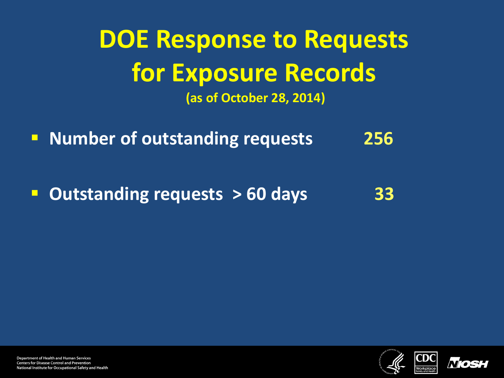#### **DOE Response to Requests for Exposure Records (as of October 28, 2014)**

**Number of outstanding requests** 256

**Dutstanding requests > 60 days** 33





**Department of Health and Human Services Centers for Disease Control and Prevention** National Institute for Occupational Safety and Health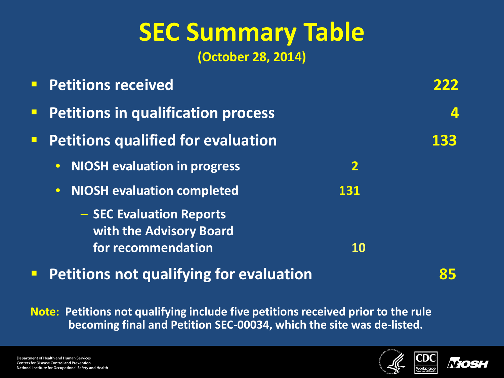# **SEC Summary Table**

**(October 28, 2014)**

|                | <b>Petitions received</b>                                                 |                         |                      |
|----------------|---------------------------------------------------------------------------|-------------------------|----------------------|
| $\blacksquare$ | <b>Petitions in qualification process</b>                                 |                         | $\vert \Delta \vert$ |
| $\blacksquare$ | <b>Petitions qualified for evaluation</b>                                 |                         | 133                  |
|                | <b>NIOSH evaluation in progress</b><br>$\bullet$                          | $\overline{\mathbf{2}}$ |                      |
|                | <b>NIOSH evaluation completed</b><br>$\overline{\bullet}$ .               | 131                     |                      |
|                | - SEC Evaluation Reports<br>with the Advisory Board<br>for recommendation | <b>10</b>               |                      |
|                |                                                                           |                         |                      |

**Petitions not qualifying for evaluation 85**

**Note: Petitions not qualifying include five petitions received prior to the rule becoming final and Petition SEC-00034, which the site was de-listed.**